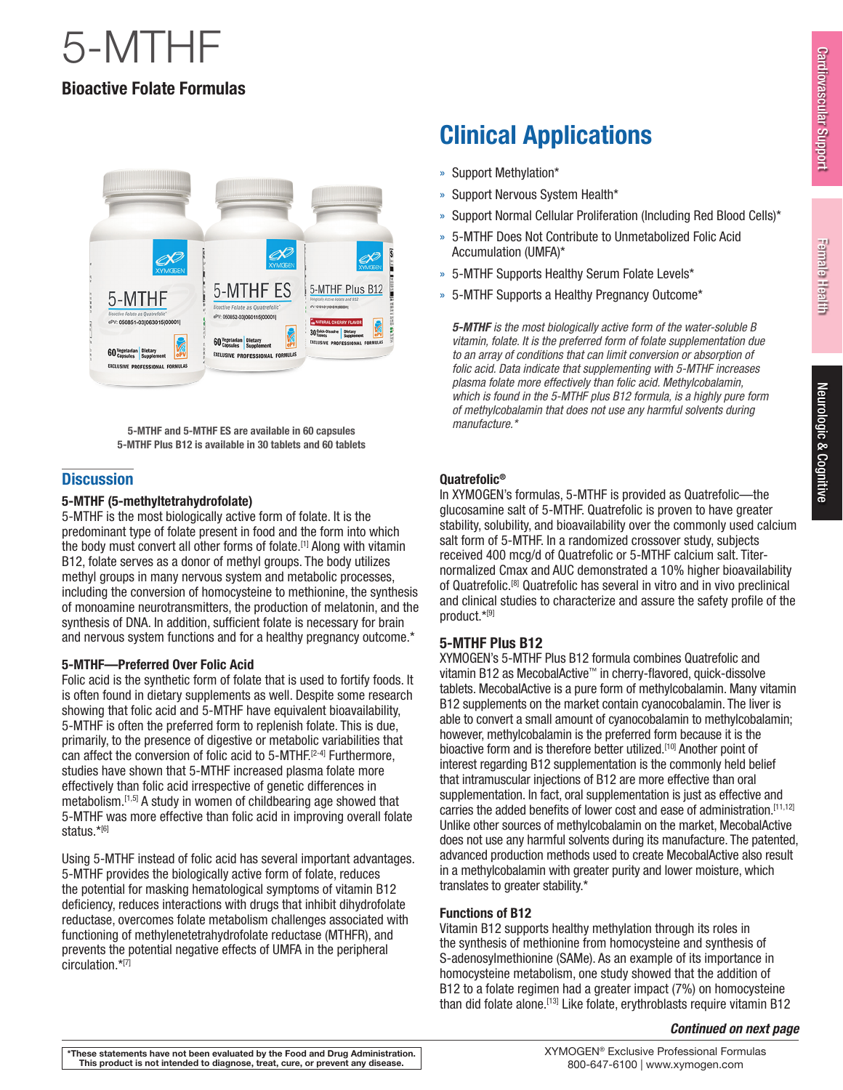# 5-MTHF

### Bioactive Folate Formulas



*manufacture.\** 5-MTHF and 5-MTHF ES are available in 60 capsules 5-MTHF Plus B12 is available in 30 tablets and 60 tablets

#### **Discussion**

#### 5-MTHF (5-methyltetrahydrofolate)

5-MTHF is the most biologically active form of folate. It is the predominant type of folate present in food and the form into which the body must convert all other forms of folate.[1] Along with vitamin B12, folate serves as a donor of methyl groups. The body utilizes methyl groups in many nervous system and metabolic processes, including the conversion of homocysteine to methionine, the synthesis of monoamine neurotransmitters, the production of melatonin, and the synthesis of DNA. In addition, sufficient folate is necessary for brain and nervous system functions and for a healthy pregnancy outcome.\*

#### 5-MTHF—Preferred Over Folic Acid

Folic acid is the synthetic form of folate that is used to fortify foods. It is often found in dietary supplements as well. Despite some research showing that folic acid and 5-MTHF have equivalent bioavailability, 5-MTHF is often the preferred form to replenish folate. This is due, primarily, to the presence of digestive or metabolic variabilities that can affect the conversion of folic acid to  $5-MTHE^{[2-4]}$  Furthermore, studies have shown that 5-MTHF increased plasma folate more effectively than folic acid irrespective of genetic differences in metabolism.<sup>[1,5]</sup> A study in women of childbearing age showed that 5-MTHF was more effective than folic acid in improving overall folate status.\*[6]

Using 5-MTHF instead of folic acid has several important advantages. 5-MTHF provides the biologically active form of folate, reduces the potential for masking hematological symptoms of vitamin B12 deficiency, reduces interactions with drugs that inhibit dihydrofolate reductase, overcomes folate metabolism challenges associated with functioning of methylenetetrahydrofolate reductase (MTHFR), and prevents the potential negative effects of UMFA in the peripheral circulation.\*[7]

## Clinical Applications

- » Support Methylation\*
- » Support Nervous System Health\*
- » Support Normal Cellular Proliferation (Including Red Blood Cells)\*
- » 5-MTHF Does Not Contribute to Unmetabolized Folic Acid Accumulation (UMFA)\*
- » 5-MTHF Supports Healthy Serum Folate Levels\*
- » 5-MTHF Supports a Healthy Pregnancy Outcome\*

*5-MTHF is the most biologically active form of the water-soluble B vitamin, folate. It is the preferred form of folate supplementation due to an array of conditions that can limit conversion or absorption of folic acid. Data indicate that supplementing with 5-MTHF increases plasma folate more effectively than folic acid. Methylcobalamin, which is found in the 5-MTHF plus B12 formula, is a highly pure form of methylcobalamin that does not use any harmful solvents during* 

#### Quatrefolic®

In XYMOGEN's formulas, 5-MTHF is provided as Quatrefolic—the glucosamine salt of 5-MTHF. Quatrefolic is proven to have greater stability, solubility, and bioavailability over the commonly used calcium salt form of 5-MTHF. In a randomized crossover study, subjects received 400 mcg/d of Quatrefolic or 5-MTHF calcium salt. Titernormalized Cmax and AUC demonstrated a 10% higher bioavailability of Quatrefolic.[8] Quatrefolic has several in vitro and in vivo preclinical and clinical studies to characterize and assure the safety profile of the product.\*[9]

#### 5-MTHF Plus B12

XYMOGEN's 5-MTHF Plus B12 formula combines Quatrefolic and vitamin B12 as MecobalActive™ in cherry-flavored, quick-dissolve tablets. MecobalActive is a pure form of methylcobalamin. Many vitamin B12 supplements on the market contain cyanocobalamin. The liver is able to convert a small amount of cyanocobalamin to methylcobalamin; however, methylcobalamin is the preferred form because it is the bioactive form and is therefore better utilized.<sup>[10]</sup> Another point of interest regarding B12 supplementation is the commonly held belief that intramuscular injections of B12 are more effective than oral supplementation. In fact, oral supplementation is just as effective and carries the added benefits of lower cost and ease of administration.<sup>[11,12]</sup> Unlike other sources of methylcobalamin on the market, MecobalActive does not use any harmful solvents during its manufacture. The patented, advanced production methods used to create MecobalActive also result in a methylcobalamin with greater purity and lower moisture, which translates to greater stability.\*

#### Functions of B12

Vitamin B12 supports healthy methylation through its roles in the synthesis of methionine from homocysteine and synthesis of S-adenosylmethionine (SAMe). As an example of its importance in homocysteine metabolism, one study showed that the addition of B12 to a folate regimen had a greater impact (7%) on homocysteine than did folate alone.<sup>[13]</sup> Like folate, erythroblasts require vitamin B12

#### *Continued on next page*

Female Health

Female Health